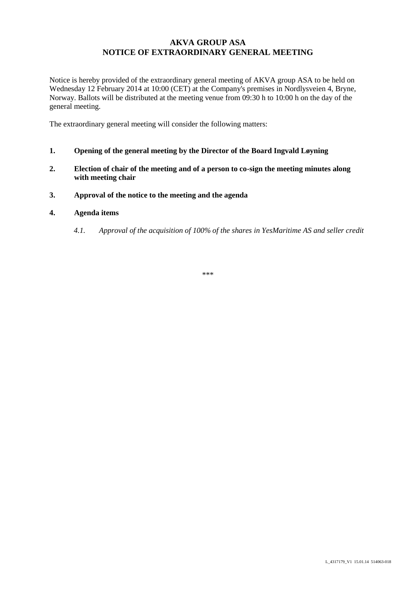# **AKVA GROUP ASA NOTICE OF EXTRAORDINARY GENERAL MEETING**

Notice is hereby provided of the extraordinary general meeting of AKVA group ASA to be held on Wednesday 12 February 2014 at 10:00 (CET) at the Company's premises in Nordlysveien 4, Bryne, Norway. Ballots will be distributed at the meeting venue from 09:30 h to 10:00 h on the day of the general meeting.

The extraordinary general meeting will consider the following matters:

- **1. Opening of the general meeting by the Director of the Board Ingvald Løyning**
- **2. Election of chair of the meeting and of a person to co-sign the meeting minutes along with meeting chair**
- **3. Approval of the notice to the meeting and the agenda**

# **4. Agenda items**

*4.1. Approval of the acquisition of 100% of the shares in YesMaritime AS and seller credit*

\*\*\*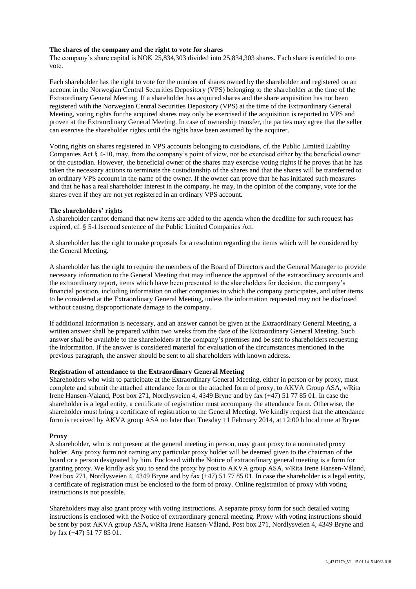### **The shares of the company and the right to vote for shares**

The company's share capital is NOK 25,834,303 divided into 25,834,303 shares. Each share is entitled to one vote.

Each shareholder has the right to vote for the number of shares owned by the shareholder and registered on an account in the Norwegian Central Securities Depository (VPS) belonging to the shareholder at the time of the Extraordinary General Meeting. If a shareholder has acquired shares and the share acquisition has not been registered with the Norwegian Central Securities Depository (VPS) at the time of the Extraordinary General Meeting, voting rights for the acquired shares may only be exercised if the acquisition is reported to VPS and proven at the Extraordinary General Meeting. In case of ownership transfer, the parties may agree that the seller can exercise the shareholder rights until the rights have been assumed by the acquirer.

Voting rights on shares registered in VPS accounts belonging to custodians, cf. the Public Limited Liability Companies Act § 4-10, may, from the company's point of view, not be exercised either by the beneficial owner or the custodian. However, the beneficial owner of the shares may exercise voting rights if he proves that he has taken the necessary actions to terminate the custodianship of the shares and that the shares will be transferred to an ordinary VPS account in the name of the owner. If the owner can prove that he has initiated such measures and that he has a real shareholder interest in the company, he may, in the opinion of the company, vote for the shares even if they are not yet registered in an ordinary VPS account.

## **The shareholders' rights**

A shareholder cannot demand that new items are added to the agenda when the deadline for such request has expired, cf. § 5-11second sentence of the Public Limited Companies Act.

A shareholder has the right to make proposals for a resolution regarding the items which will be considered by the General Meeting.

A shareholder has the right to require the members of the Board of Directors and the General Manager to provide necessary information to the General Meeting that may influence the approval of the extraordinary accounts and the extraordinary report, items which have been presented to the shareholders for decision, the company's financial position, including information on other companies in which the company participates, and other items to be considered at the Extraordinary General Meeting, unless the information requested may not be disclosed without causing disproportionate damage to the company.

If additional information is necessary, and an answer cannot be given at the Extraordinary General Meeting, a written answer shall be prepared within two weeks from the date of the Extraordinary General Meeting. Such answer shall be available to the shareholders at the company's premises and be sent to shareholders requesting the information. If the answer is considered material for evaluation of the circumstances mentioned in the previous paragraph, the answer should be sent to all shareholders with known address.

#### **Registration of attendance to the Extraordinary General Meeting**

Shareholders who wish to participate at the Extraordinary General Meeting, either in person or by proxy, must complete and submit the attached attendance form or the attached form of proxy, to AKVA Group ASA, v/Rita Irene Hansen-Våland, Post box 271, Nordlysveien 4, 4349 Bryne and by fax (+47) 51 77 85 01. In case the shareholder is a legal entity, a certificate of registration must accompany the attendance form. Otherwise, the shareholder must bring a certificate of registration to the General Meeting. We kindly request that the attendance form is received by AKVA group ASA no later than Tuesday 11 February 2014, at 12:00 h local time at Bryne.

# **Proxy**

A shareholder, who is not present at the general meeting in person, may grant proxy to a nominated proxy holder. Any proxy form not naming any particular proxy holder will be deemed given to the chairman of the board or a person designated by him. Enclosed with the Notice of extraordinary general meeting is a form for granting proxy. We kindly ask you to send the proxy by post to AKVA group ASA, v/Rita Irene Hansen-Våland, Post box 271, Nordlysveien 4, 4349 Bryne and by fax (+47) 51 77 85 01. In case the shareholder is a legal entity, a certificate of registration must be enclosed to the form of proxy. Online registration of proxy with voting instructions is not possible.

Shareholders may also grant proxy with voting instructions. A separate proxy form for such detailed voting instructions is enclosed with the Notice of extraordinary general meeting. Proxy with voting instructions should be sent by post AKVA group ASA, v/Rita Irene Hansen-Våland, Post box 271, Nordlysveien 4, 4349 Bryne and by fax (+47) 51 77 85 01.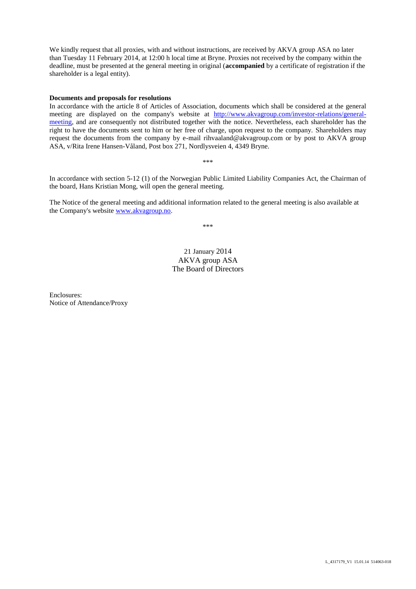We kindly request that all proxies, with and without instructions, are received by AKVA group ASA no later than Tuesday 11 February 2014, at 12:00 h local time at Bryne. Proxies not received by the company within the deadline, must be presented at the general meeting in original (**accompanied** by a certificate of registration if the shareholder is a legal entity).

#### **Documents and proposals for resolutions**

In accordance with the article 8 of Articles of Association, documents which shall be considered at the general meeting are displayed on the company's website at [http://www.akvagroup.com/investor-relations/general](http://www.akvagroup.com/investor-relations/general-meeting)[meeting,](http://www.akvagroup.com/investor-relations/general-meeting) and are consequently not distributed together with the notice. Nevertheless, each shareholder has the right to have the documents sent to him or her free of charge, upon request to the company. Shareholders may request the documents from the company by e-mail rihvaaland@akvagroup.com or by post to AKVA group ASA, v/Rita Irene Hansen-Våland, Post box 271, Nordlysveien 4, 4349 Bryne.

\*\*\*

In accordance with section 5-12 (1) of the Norwegian Public Limited Liability Companies Act, the Chairman of the board, Hans Kristian Mong, will open the general meeting.

The Notice of the general meeting and additional information related to the general meeting is also available at the Company's website [www.akvagroup.no.](http://www.akvagroup.no/)

\*\*\*

# 21 January 2014 AKVA group ASA The Board of Directors

Enclosures: Notice of Attendance/Proxy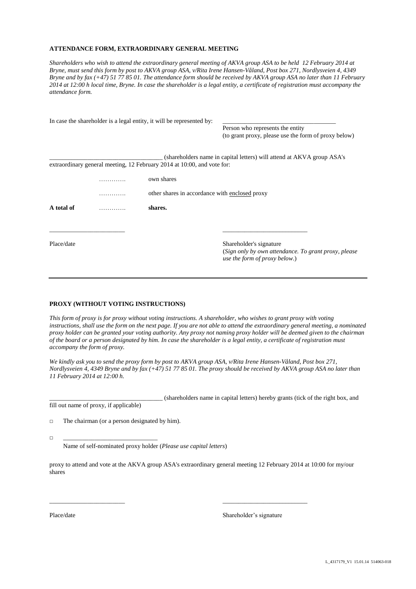#### **ATTENDANCE FORM, EXTRAORDINARY GENERAL MEETING**

*Shareholders who wish to attend the extraordinary general meeting of AKVA group ASA to be held 12 February 2014 at Bryne, must send this form by post to AKVA group ASA*, *v/Rita Irene Hansen-Våland, Post box 271, Nordlysveien 4, 4349 Bryne and by fax (+47) 51 77 85 01. The attendance form should be received by AKVA group ASA no later than 11 February 2014 at 12:00 h local time, Bryne. In case the shareholder is a legal entity, a certificate of registration must accompany the attendance form.*

|            | In case the shareholder is a legal entity, it will be represented by:   |                                                                                                                   |
|------------|-------------------------------------------------------------------------|-------------------------------------------------------------------------------------------------------------------|
|            |                                                                         | Person who represents the entity<br>(to grant proxy, please use the form of proxy below)                          |
|            |                                                                         | (shareholders name in capital letters) will attend at AKVA group ASA's                                            |
|            | extraordinary general meeting, 12 February 2014 at 10:00, and vote for: |                                                                                                                   |
|            | own shares                                                              |                                                                                                                   |
|            | other shares in accordance with enclosed proxy                          |                                                                                                                   |
| A total of | shares.                                                                 |                                                                                                                   |
|            |                                                                         |                                                                                                                   |
| Place/date |                                                                         | Shareholder's signature<br>(Sign only by own attendance. To grant proxy, please)<br>use the form of proxy below.) |

#### **PROXY (WITHOUT VOTING INSTRUCTIONS)**

*This form of proxy is for proxy without voting instructions. A shareholder, who wishes to grant proxy with voting instructions, shall use the form on the next page. If you are not able to attend the extraordinary general meeting, a nominated proxy holder can be granted your voting authority. Any proxy not naming proxy holder will be deemed given to the chairman of the board or a person designated by him. In case the shareholder is a legal entity, a certificate of registration must accompany the form of proxy.*

*We kindly ask you to send the proxy form by post to AKVA group ASA, v/Rita Irene Hansen-Våland, Post box 271, Nordlysveien 4, 4349 Bryne and by fax (+47) 51 77 85 01. The proxy should be received by AKVA group ASA no later than 11 February 2014 at 12:00 h.*

\_\_\_\_\_\_\_\_\_\_\_\_\_\_\_\_\_\_\_\_\_\_\_\_\_\_\_\_\_\_\_\_\_\_\_\_ (shareholders name in capital letters) hereby grants (tick of the right box, and fill out name of proxy, if applicable)

□ The chairman (or a person designated by him).

□ \_\_\_\_\_\_\_\_\_\_\_\_\_\_\_\_\_\_\_\_\_\_\_\_\_\_\_\_\_\_

Name of self-nominated proxy holder (*Please use capital letters*)

proxy to attend and vote at the AKVA group ASA's extraordinary general meeting 12 February 2014 at 10:00 for my/our shares

\_\_\_\_\_\_\_\_\_\_\_\_\_\_\_\_\_\_\_\_\_\_\_\_ \_\_\_\_\_\_\_\_\_\_\_\_\_\_\_\_\_\_\_\_\_\_\_\_\_\_\_

Place/date Shareholder's signature